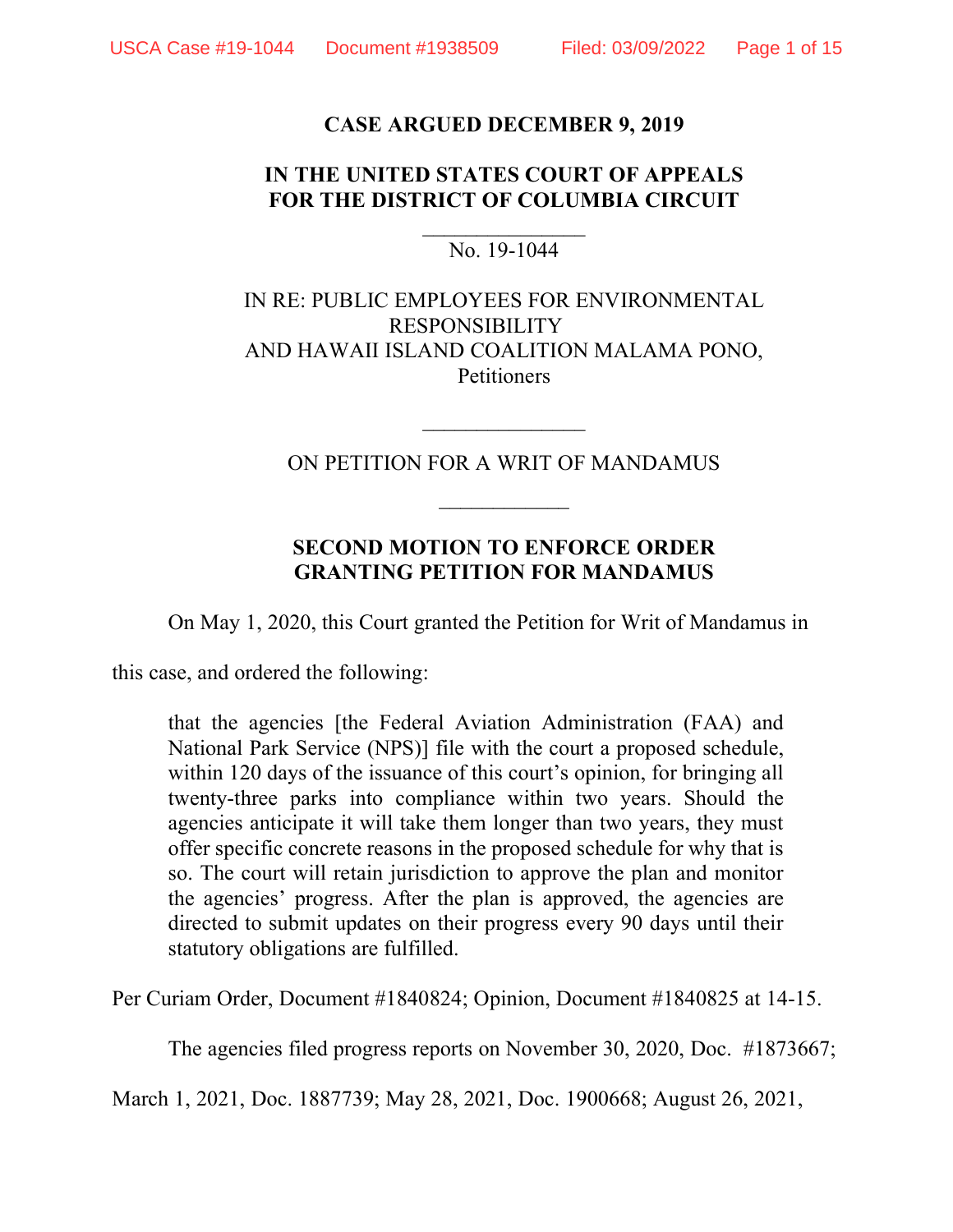### **CASE ARGUED DECEMBER 9, 2019**

## **IN THE UNITED STATES COURT OF APPEALS FOR THE DISTRICT OF COLUMBIA CIRCUIT**

### $\mathcal{L}_\text{max}$ No. 19-1044

## IN RE: PUBLIC EMPLOYEES FOR ENVIRONMENTAL RESPONSIBILITY AND HAWAII ISLAND COALITION MALAMA PONO, Petitioners

ON PETITION FOR A WRIT OF MANDAMUS

 $\mathcal{L}_\text{max}$ 

## **SECOND MOTION TO ENFORCE ORDER GRANTING PETITION FOR MANDAMUS**

On May 1, 2020, this Court granted the Petition for Writ of Mandamus in

this case, and ordered the following:

that the agencies [the Federal Aviation Administration (FAA) and National Park Service (NPS)] file with the court a proposed schedule, within 120 days of the issuance of this court's opinion, for bringing all twenty-three parks into compliance within two years. Should the agencies anticipate it will take them longer than two years, they must offer specific concrete reasons in the proposed schedule for why that is so. The court will retain jurisdiction to approve the plan and monitor the agencies' progress. After the plan is approved, the agencies are directed to submit updates on their progress every 90 days until their statutory obligations are fulfilled.

Per Curiam Order, Document #1840824; Opinion, Document #1840825 at 14-15.

The agencies filed progress reports on November 30, 2020, Doc. #1873667;

March 1, 2021, Doc. 1887739; May 28, 2021, Doc. 1900668; August 26, 2021,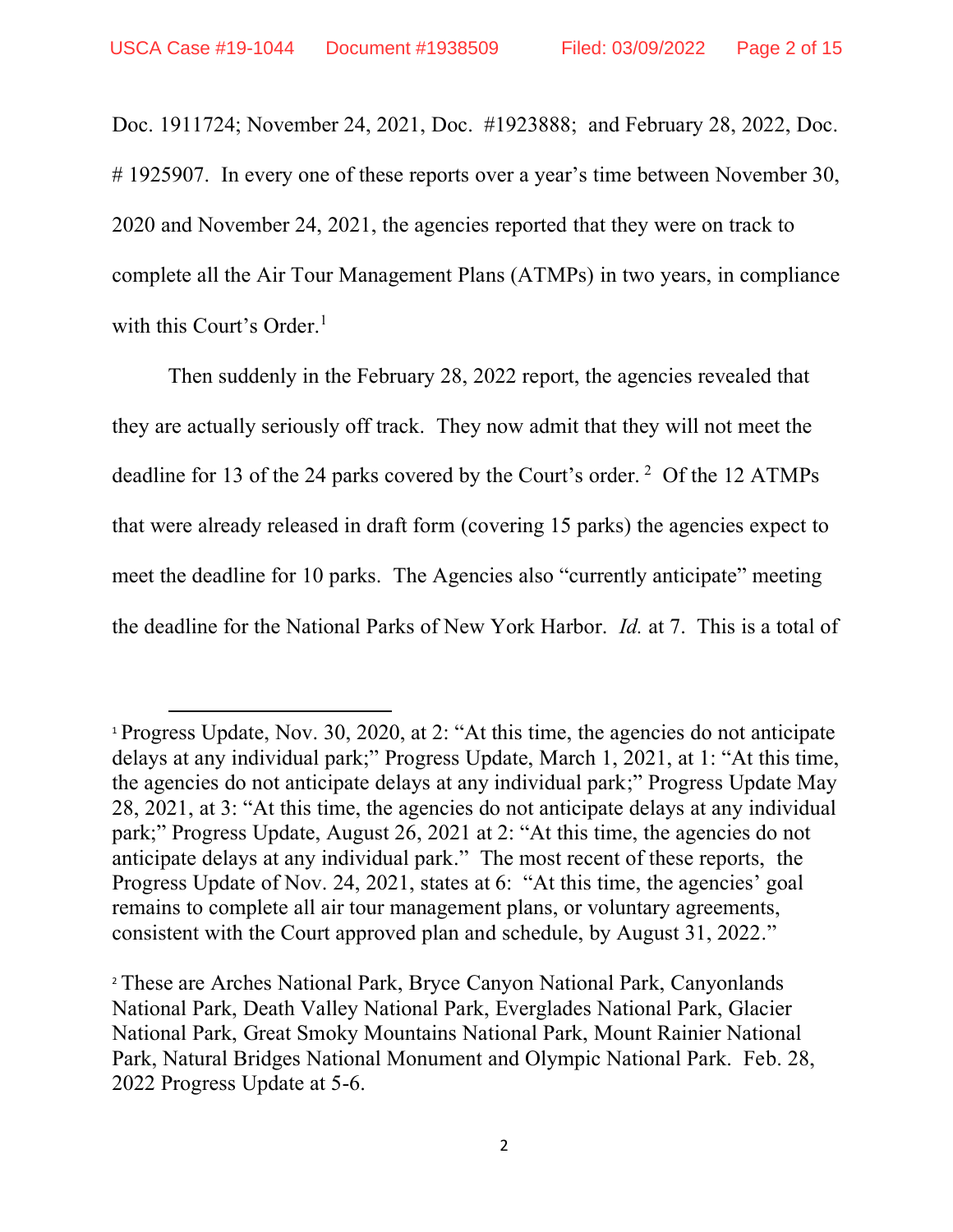Doc. 1911724; November 24, 2021, Doc. #1923888; and February 28, 2022, Doc. # 1925907. In every one of these reports over a year's time between November 30, 2020 and November 24, 2021, the agencies reported that they were on track to complete all the Air Tour Management Plans (ATMPs) in two years, in compliance with this Court's Order.<sup>1</sup>

Then suddenly in the February 28, 2022 report, the agencies revealed that they are actually seriously off track. They now admit that they will not meet the deadline for 13 of the 24 parks covered by the Court's order.  $2$  Of the 12 ATMPs that were already released in draft form (covering 15 parks) the agencies expect to meet the deadline for 10 parks. The Agencies also "currently anticipate" meeting the deadline for the National Parks of New York Harbor. *Id.* at 7. This is a total of

<sup>1</sup> Progress Update, Nov. 30, 2020, at 2: "At this time, the agencies do not anticipate delays at any individual park;" Progress Update, March 1, 2021, at 1: "At this time, the agencies do not anticipate delays at any individual park;" Progress Update May 28, 2021, at 3: "At this time, the agencies do not anticipate delays at any individual park;" Progress Update, August 26, 2021 at 2: "At this time, the agencies do not anticipate delays at any individual park." The most recent of these reports, the Progress Update of Nov. 24, 2021, states at 6: "At this time, the agencies' goal remains to complete all air tour management plans, or voluntary agreements, consistent with the Court approved plan and schedule, by August 31, 2022."

<sup>2</sup> These are Arches National Park, Bryce Canyon National Park, Canyonlands National Park, Death Valley National Park, Everglades National Park, Glacier National Park, Great Smoky Mountains National Park, Mount Rainier National Park, Natural Bridges National Monument and Olympic National Park. Feb. 28, 2022 Progress Update at 5-6.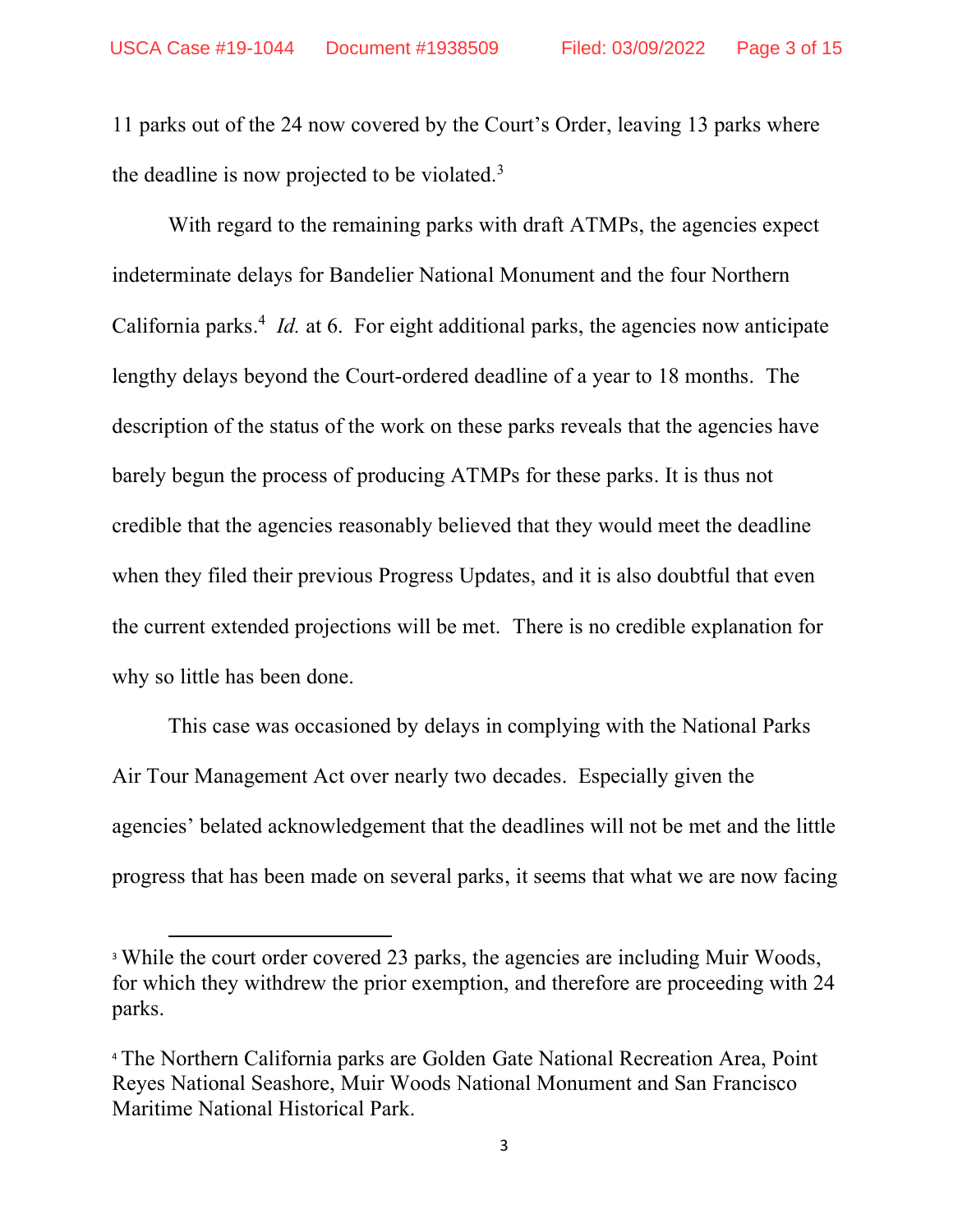11 parks out of the 24 now covered by the Court's Order, leaving 13 parks where the deadline is now projected to be violated.<sup>3</sup>

With regard to the remaining parks with draft ATMPs, the agencies expect indeterminate delays for Bandelier National Monument and the four Northern California parks.<sup>4</sup> *Id.* at 6. For eight additional parks, the agencies now anticipate lengthy delays beyond the Court-ordered deadline of a year to 18 months. The description of the status of the work on these parks reveals that the agencies have barely begun the process of producing ATMPs for these parks. It is thus not credible that the agencies reasonably believed that they would meet the deadline when they filed their previous Progress Updates, and it is also doubtful that even the current extended projections will be met. There is no credible explanation for why so little has been done.

This case was occasioned by delays in complying with the National Parks Air Tour Management Act over nearly two decades. Especially given the agencies' belated acknowledgement that the deadlines will not be met and the little progress that has been made on several parks, it seems that what we are now facing

<sup>&</sup>lt;sup>3</sup> While the court order covered 23 parks, the agencies are including Muir Woods, for which they withdrew the prior exemption, and therefore are proceeding with 24 parks.

<sup>4</sup> The Northern California parks are Golden Gate National Recreation Area, Point Reyes National Seashore, Muir Woods National Monument and San Francisco Maritime National Historical Park.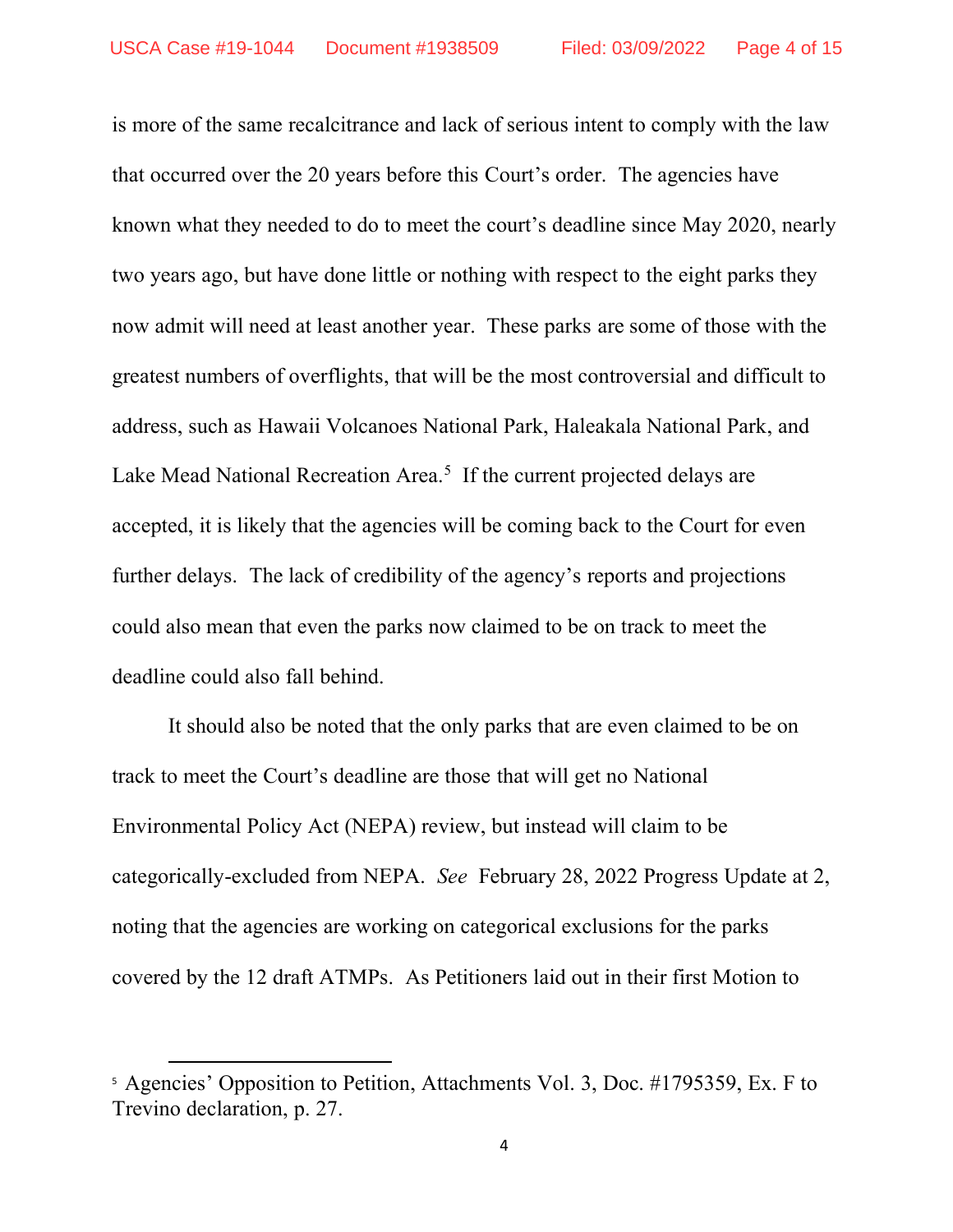is more of the same recalcitrance and lack of serious intent to comply with the law that occurred over the 20 years before this Court's order. The agencies have known what they needed to do to meet the court's deadline since May 2020, nearly two years ago, but have done little or nothing with respect to the eight parks they now admit will need at least another year. These parks are some of those with the greatest numbers of overflights, that will be the most controversial and difficult to address, such as Hawaii Volcanoes National Park, Haleakala National Park, and Lake Mead National Recreation Area. $5$  If the current projected delays are accepted, it is likely that the agencies will be coming back to the Court for even further delays. The lack of credibility of the agency's reports and projections could also mean that even the parks now claimed to be on track to meet the deadline could also fall behind.

It should also be noted that the only parks that are even claimed to be on track to meet the Court's deadline are those that will get no National Environmental Policy Act (NEPA) review, but instead will claim to be categorically-excluded from NEPA. *See* February 28, 2022 Progress Update at 2, noting that the agencies are working on categorical exclusions for the parks covered by the 12 draft ATMPs. As Petitioners laid out in their first Motion to

<sup>5</sup> Agencies' Opposition to Petition, Attachments Vol. 3, Doc. #1795359, Ex. F to Trevino declaration, p. 27.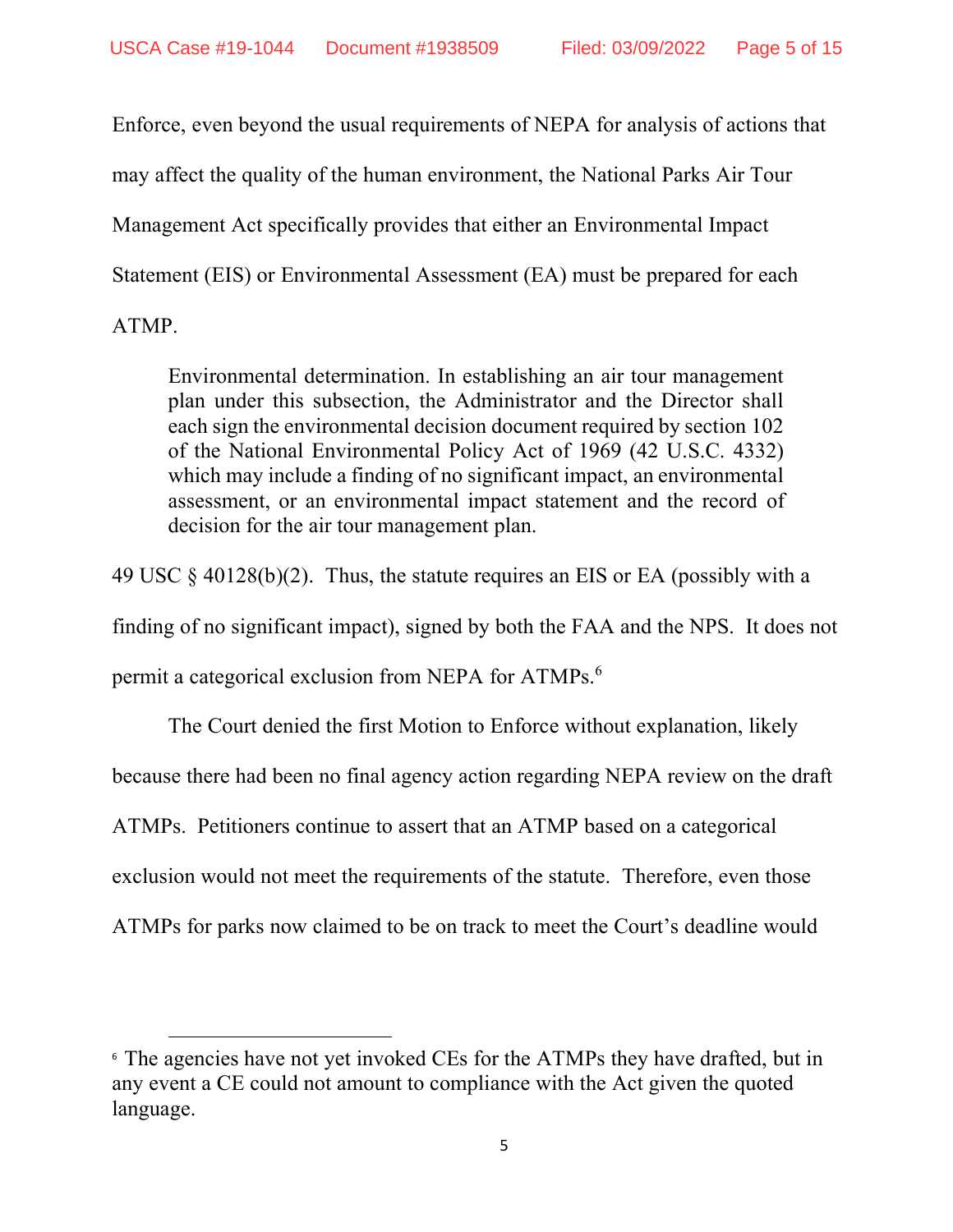Enforce, even beyond the usual requirements of NEPA for analysis of actions that may affect the quality of the human environment, the National Parks Air Tour Management Act specifically provides that either an Environmental Impact Statement (EIS) or Environmental Assessment (EA) must be prepared for each ATMP.

Environmental determination. In establishing an air tour management plan under this subsection, the Administrator and the Director shall each sign the environmental decision document required by section 102 of the National Environmental Policy Act of 1969 (42 U.S.C. 4332) which may include a finding of no significant impact, an environmental assessment, or an environmental impact statement and the record of decision for the air tour management plan.

49 USC § 40128(b)(2). Thus, the statute requires an EIS or EA (possibly with a finding of no significant impact), signed by both the FAA and the NPS. It does not permit a categorical exclusion from NEPA for ATMPs.<sup>6</sup>

The Court denied the first Motion to Enforce without explanation, likely because there had been no final agency action regarding NEPA review on the draft ATMPs. Petitioners continue to assert that an ATMP based on a categorical exclusion would not meet the requirements of the statute. Therefore, even those ATMPs for parks now claimed to be on track to meet the Court's deadline would

<sup>&</sup>lt;sup>6</sup> The agencies have not yet invoked CEs for the ATMPs they have drafted, but in any event a CE could not amount to compliance with the Act given the quoted language.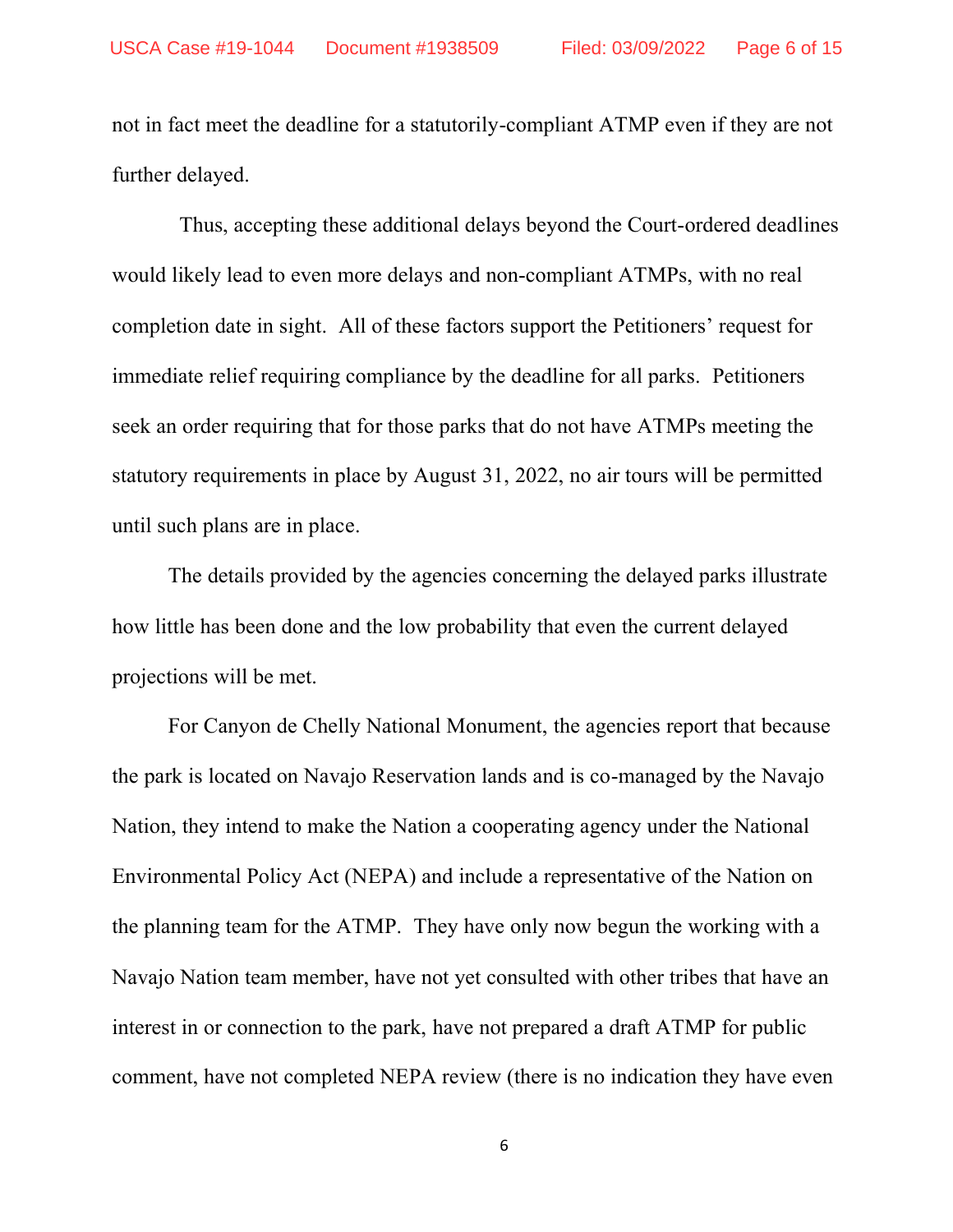not in fact meet the deadline for a statutorily-compliant ATMP even if they are not further delayed.

 Thus, accepting these additional delays beyond the Court-ordered deadlines would likely lead to even more delays and non-compliant ATMPs, with no real completion date in sight. All of these factors support the Petitioners' request for immediate relief requiring compliance by the deadline for all parks. Petitioners seek an order requiring that for those parks that do not have ATMPs meeting the statutory requirements in place by August 31, 2022, no air tours will be permitted until such plans are in place.

The details provided by the agencies concerning the delayed parks illustrate how little has been done and the low probability that even the current delayed projections will be met.

For Canyon de Chelly National Monument, the agencies report that because the park is located on Navajo Reservation lands and is co-managed by the Navajo Nation, they intend to make the Nation a cooperating agency under the National Environmental Policy Act (NEPA) and include a representative of the Nation on the planning team for the ATMP. They have only now begun the working with a Navajo Nation team member, have not yet consulted with other tribes that have an interest in or connection to the park, have not prepared a draft ATMP for public comment, have not completed NEPA review (there is no indication they have even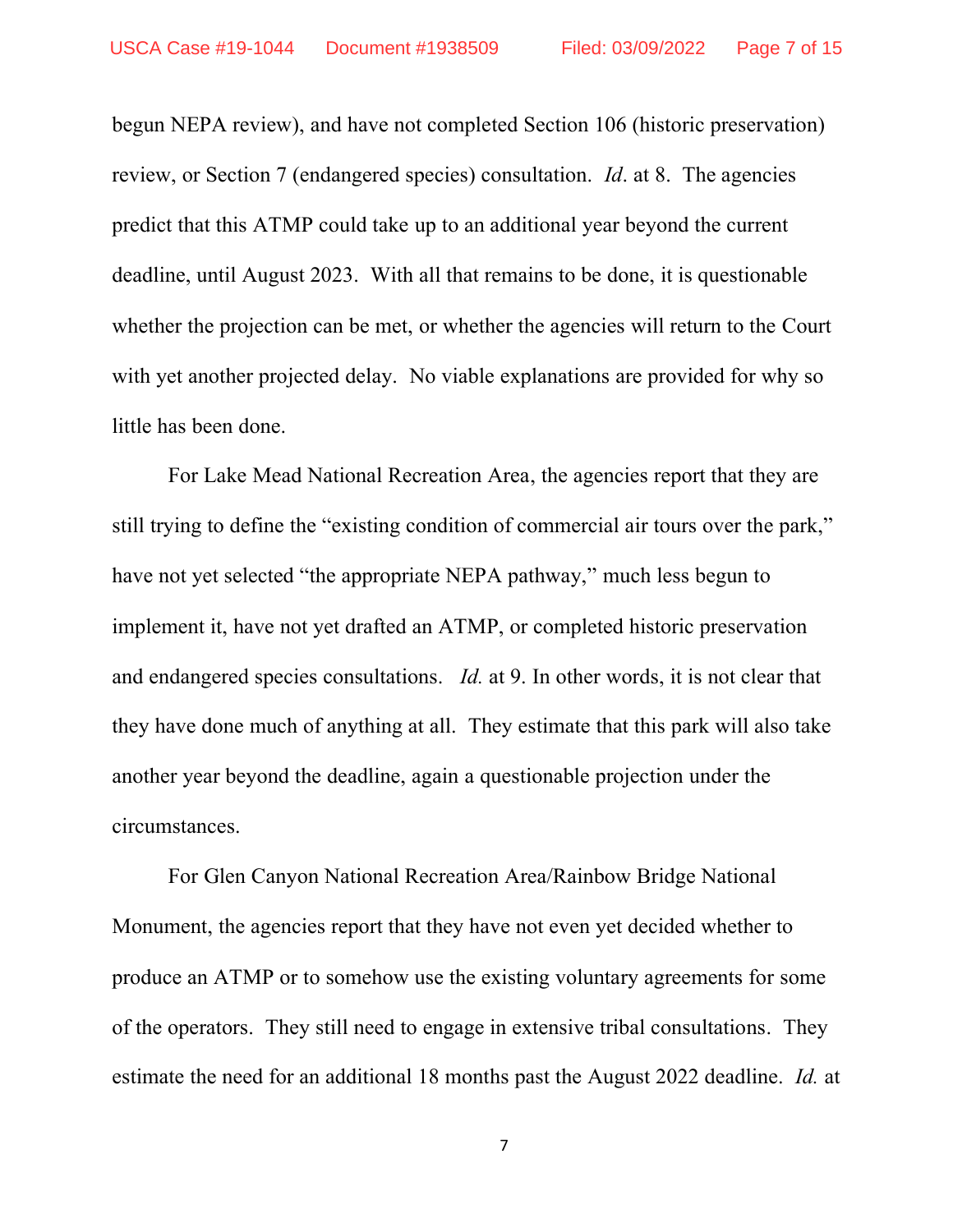begun NEPA review), and have not completed Section 106 (historic preservation) review, or Section 7 (endangered species) consultation. *Id*. at 8. The agencies predict that this ATMP could take up to an additional year beyond the current deadline, until August 2023. With all that remains to be done, it is questionable whether the projection can be met, or whether the agencies will return to the Court with yet another projected delay. No viable explanations are provided for why so little has been done.

For Lake Mead National Recreation Area, the agencies report that they are still trying to define the "existing condition of commercial air tours over the park," have not yet selected "the appropriate NEPA pathway," much less begun to implement it, have not yet drafted an ATMP, or completed historic preservation and endangered species consultations. *Id.* at 9. In other words, it is not clear that they have done much of anything at all. They estimate that this park will also take another year beyond the deadline, again a questionable projection under the circumstances.

For Glen Canyon National Recreation Area/Rainbow Bridge National Monument, the agencies report that they have not even yet decided whether to produce an ATMP or to somehow use the existing voluntary agreements for some of the operators. They still need to engage in extensive tribal consultations. They estimate the need for an additional 18 months past the August 2022 deadline. *Id.* at

7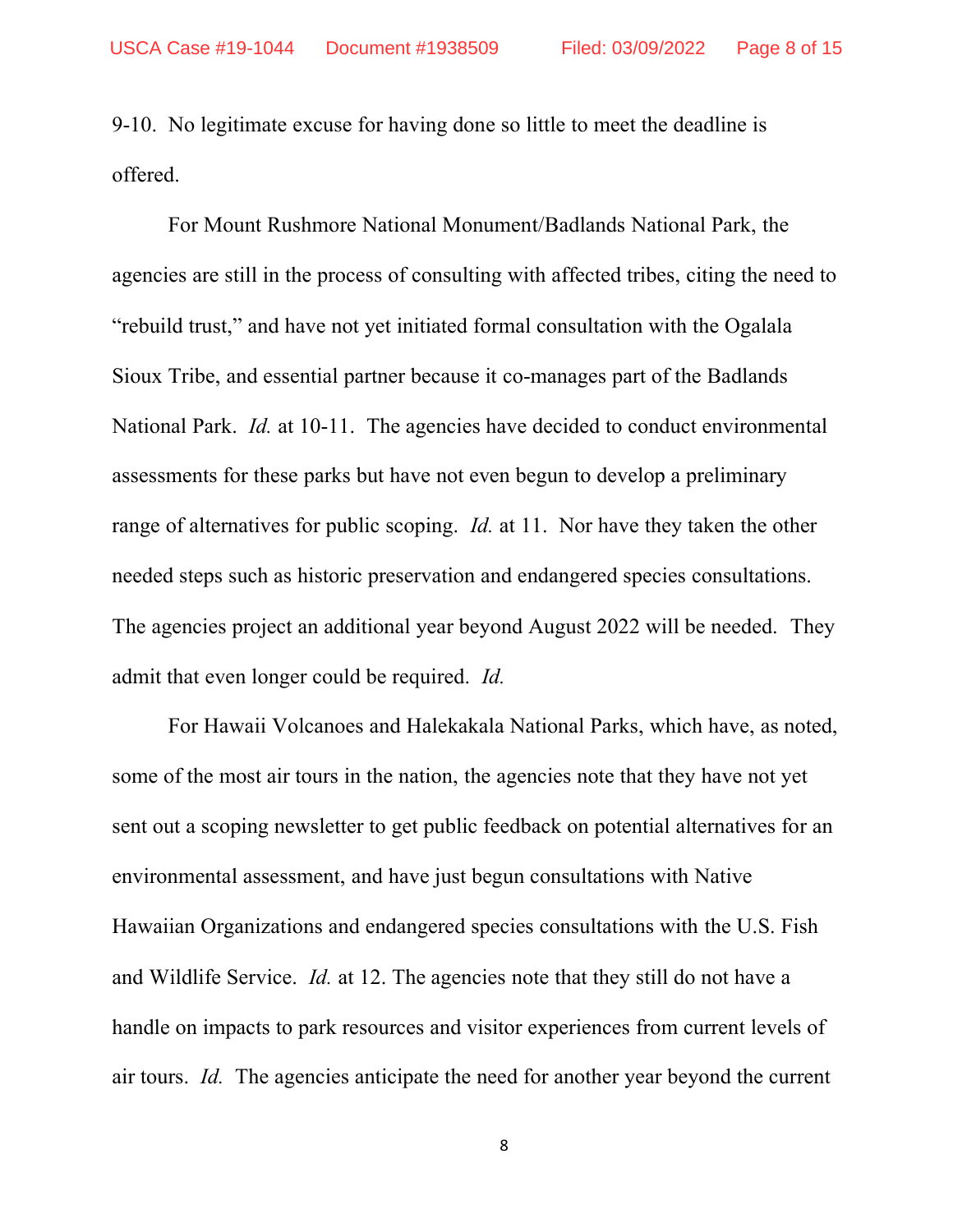9-10. No legitimate excuse for having done so little to meet the deadline is offered.

For Mount Rushmore National Monument/Badlands National Park, the agencies are still in the process of consulting with affected tribes, citing the need to "rebuild trust," and have not yet initiated formal consultation with the Ogalala Sioux Tribe, and essential partner because it co-manages part of the Badlands National Park. *Id.* at 10-11. The agencies have decided to conduct environmental assessments for these parks but have not even begun to develop a preliminary range of alternatives for public scoping. *Id.* at 11. Nor have they taken the other needed steps such as historic preservation and endangered species consultations. The agencies project an additional year beyond August 2022 will be needed. They admit that even longer could be required. *Id.* 

For Hawaii Volcanoes and Halekakala National Parks, which have, as noted, some of the most air tours in the nation, the agencies note that they have not yet sent out a scoping newsletter to get public feedback on potential alternatives for an environmental assessment, and have just begun consultations with Native Hawaiian Organizations and endangered species consultations with the U.S. Fish and Wildlife Service. *Id.* at 12. The agencies note that they still do not have a handle on impacts to park resources and visitor experiences from current levels of air tours. *Id.* The agencies anticipate the need for another year beyond the current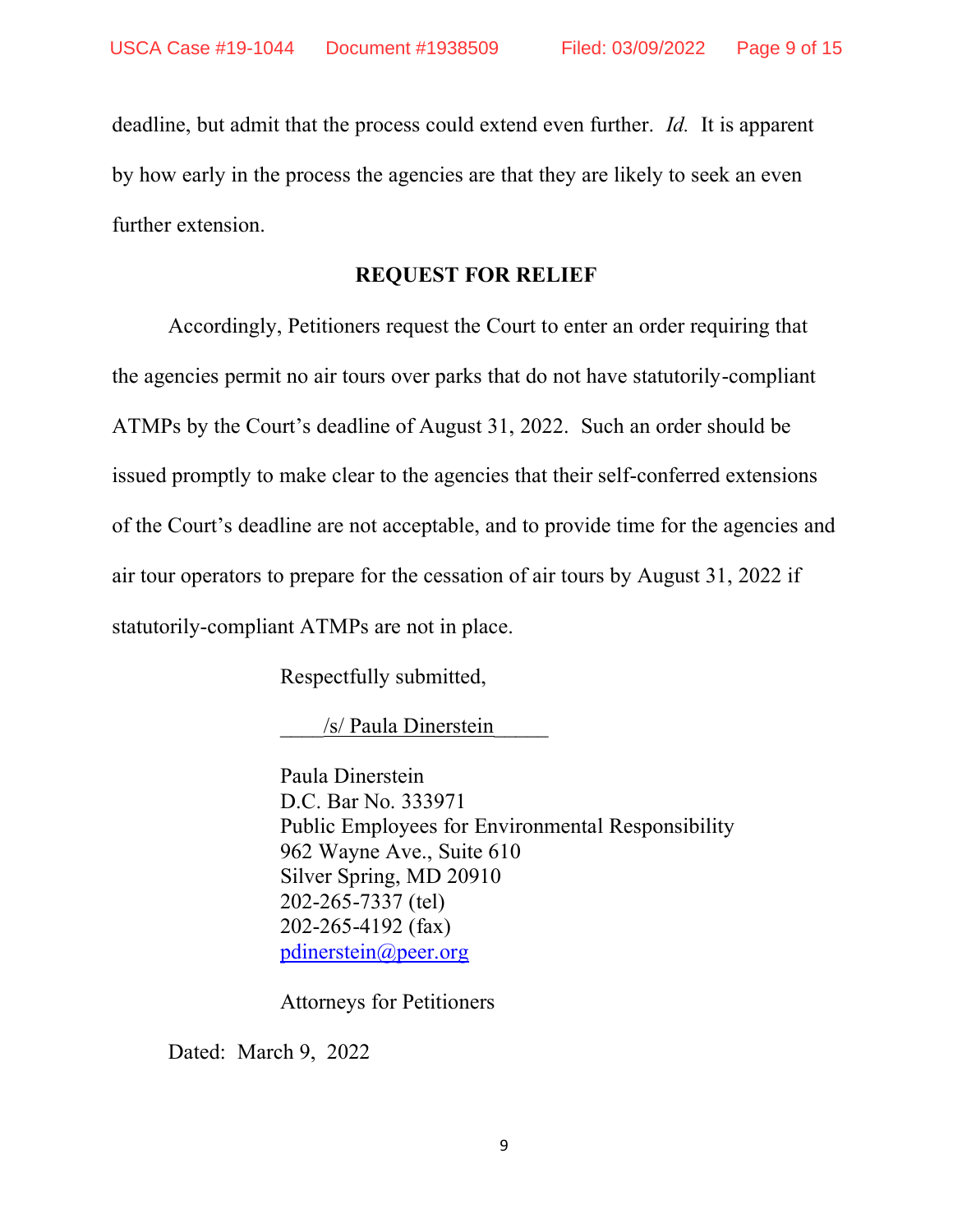deadline, but admit that the process could extend even further. *Id.* It is apparent by how early in the process the agencies are that they are likely to seek an even further extension.

### **REQUEST FOR RELIEF**

Accordingly, Petitioners request the Court to enter an order requiring that the agencies permit no air tours over parks that do not have statutorily-compliant ATMPs by the Court's deadline of August 31, 2022. Such an order should be issued promptly to make clear to the agencies that their self-conferred extensions of the Court's deadline are not acceptable, and to provide time for the agencies and air tour operators to prepare for the cessation of air tours by August 31, 2022 if statutorily-compliant ATMPs are not in place.

Respectfully submitted,

/s/ Paula Dinerstein

Paula Dinerstein D.C. Bar No. 333971 Public Employees for Environmental Responsibility 962 Wayne Ave., Suite 610 Silver Spring, MD 20910 202-265-7337 (tel) 202-265-4192 (fax) [pdinerstein@peer.org](mailto:pdinerstein@peer.org)

Attorneys for Petitioners

Dated: March 9, 2022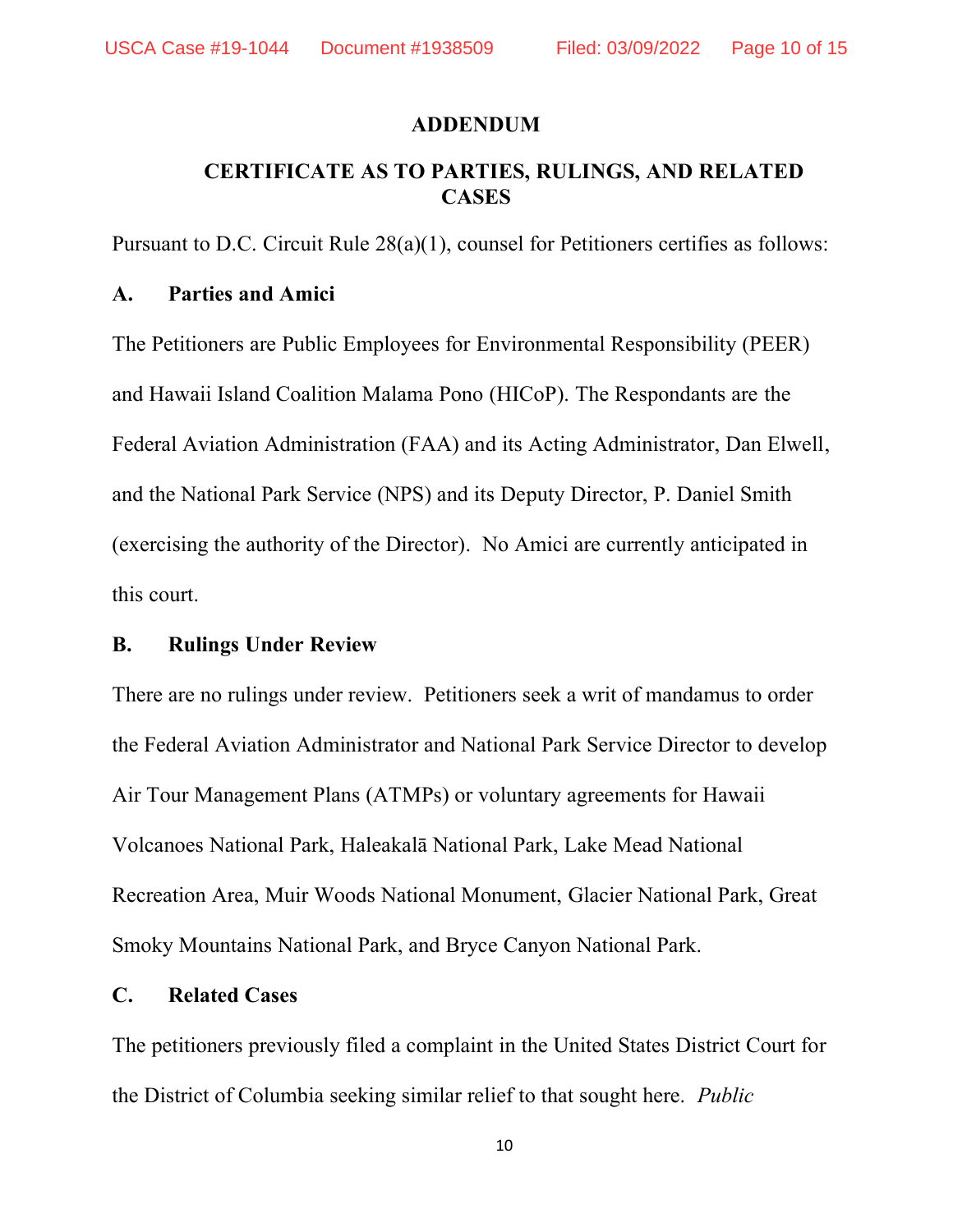#### **ADDENDUM**

## **CERTIFICATE AS TO PARTIES, RULINGS, AND RELATED CASES**

Pursuant to D.C. Circuit Rule 28(a)(1), counsel for Petitioners certifies as follows:

#### **A. Parties and Amici**

The Petitioners are Public Employees for Environmental Responsibility (PEER) and Hawaii Island Coalition Malama Pono (HICoP). The Respondants are the Federal Aviation Administration (FAA) and its Acting Administrator, Dan Elwell, and the National Park Service (NPS) and its Deputy Director, P. Daniel Smith (exercising the authority of the Director). No Amici are currently anticipated in this court.

#### **B. Rulings Under Review**

There are no rulings under review. Petitioners seek a writ of mandamus to order the Federal Aviation Administrator and National Park Service Director to develop Air Tour Management Plans (ATMPs) or voluntary agreements for Hawaii Volcanoes National Park, Haleakalā National Park, Lake Mead National Recreation Area, Muir Woods National Monument, Glacier National Park, Great Smoky Mountains National Park, and Bryce Canyon National Park.

#### **C. Related Cases**

The petitioners previously filed a complaint in the United States District Court for the District of Columbia seeking similar relief to that sought here. *Public*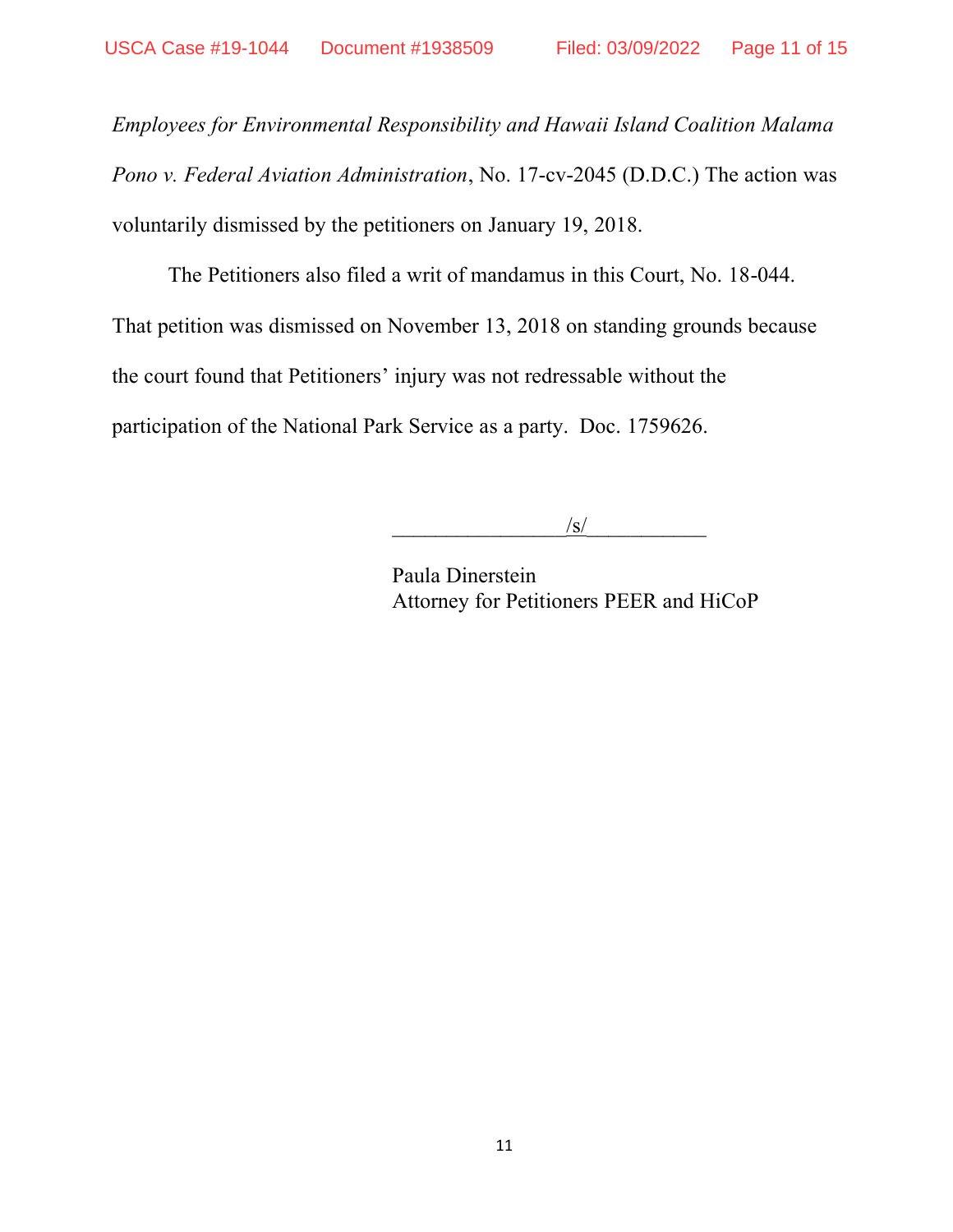*Employees for Environmental Responsibility and Hawaii Island Coalition Malama Pono v. Federal Aviation Administration*, No. 17-cv-2045 (D.D.C.) The action was voluntarily dismissed by the petitioners on January 19, 2018.

The Petitioners also filed a writ of mandamus in this Court, No. 18-044. That petition was dismissed on November 13, 2018 on standing grounds because the court found that Petitioners' injury was not redressable without the participation of the National Park Service as a party. Doc. 1759626.

 $\frac{1}{s}$ 

Paula Dinerstein Attorney for Petitioners PEER and HiCoP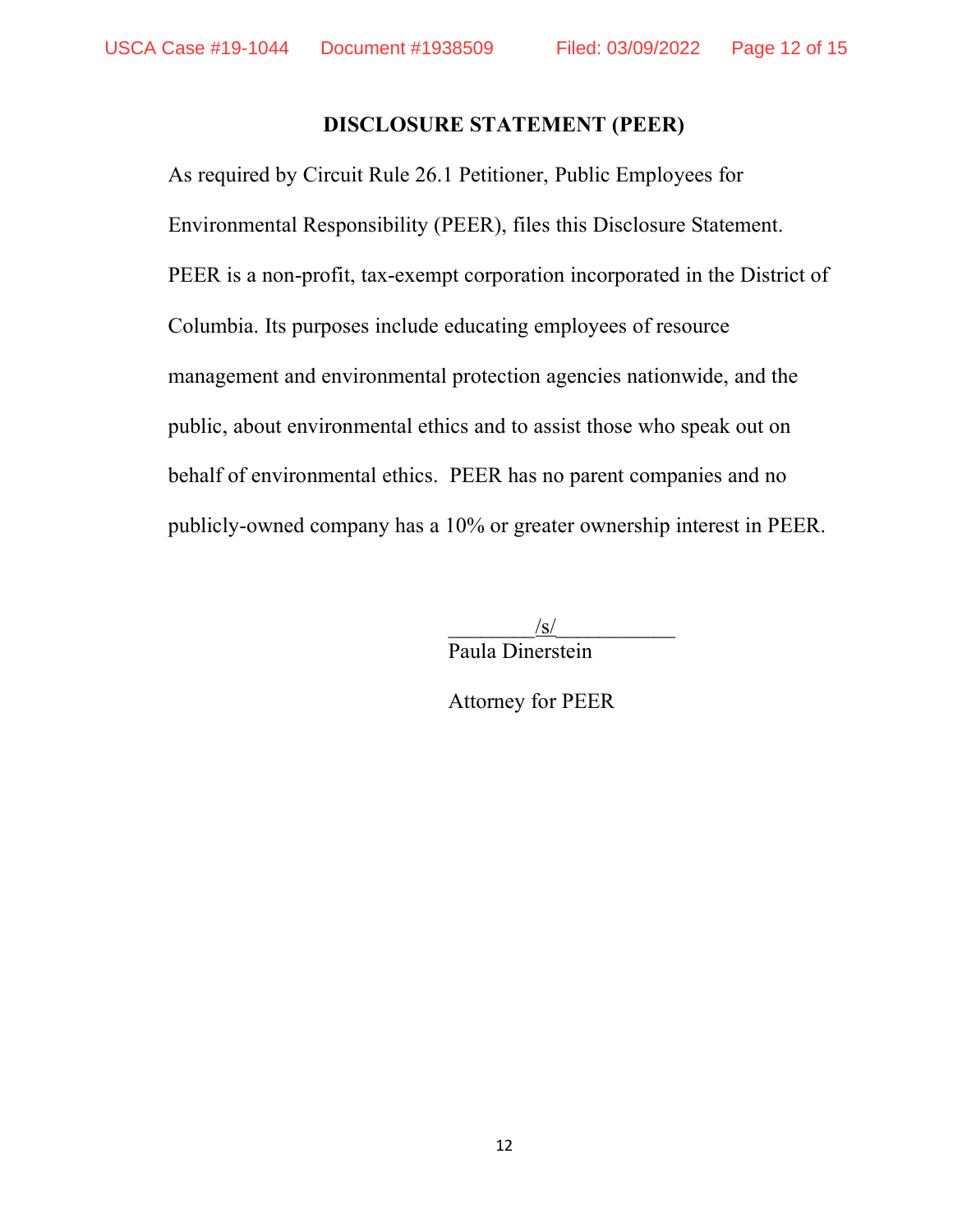#### **DISCLOSURE STATEMENT (PEER)**

As required by Circuit Rule 26.1 Petitioner, Public Employees for Environmental Responsibility (PEER), files this Disclosure Statement. PEER is a non-profit, tax-exempt corporation incorporated in the District of Columbia. Its purposes include educating employees of resource management and environmental protection agencies nationwide, and the public, about environmental ethics and to assist those who speak out on behalf of environmental ethics. PEER has no parent companies and no publicly-owned company has a 10% or greater ownership interest in PEER.

> $/\mathbf{s}/\mathbf{s}$ Paula Dinerstein

Attorney for PEER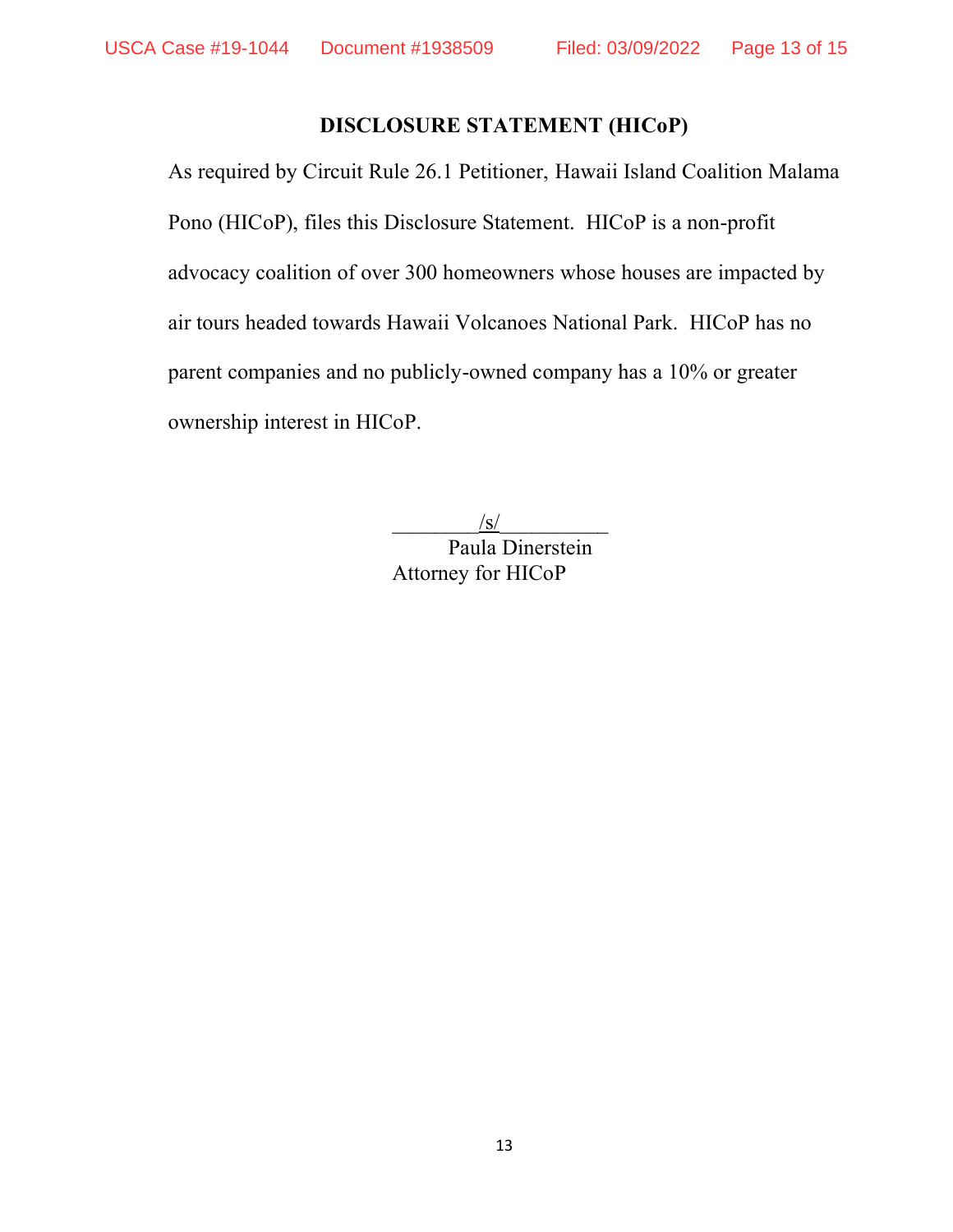# **DISCLOSURE STATEMENT (HICoP)**

As required by Circuit Rule 26.1 Petitioner, Hawaii Island Coalition Malama Pono (HICoP), files this Disclosure Statement. HICoP is a non-profit advocacy coalition of over 300 homeowners whose houses are impacted by air tours headed towards Hawaii Volcanoes National Park. HICoP has no parent companies and no publicly-owned company has a 10% or greater ownership interest in HICoP.

 $/\mathbf{s}/\mathbf{s}$ 

Paula Dinerstein Attorney for HICoP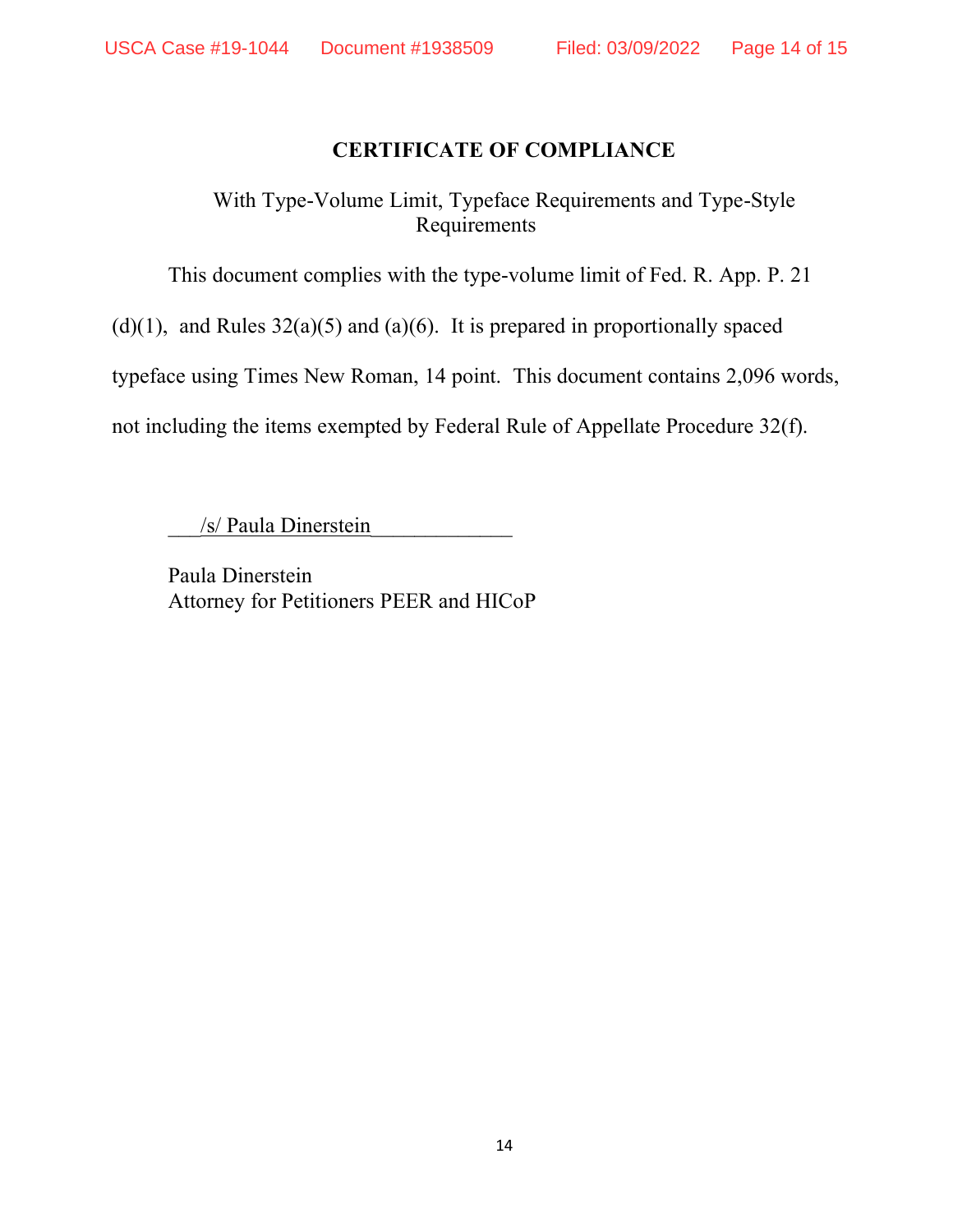## **CERTIFICATE OF COMPLIANCE**

With Type-Volume Limit, Typeface Requirements and Type-Style Requirements

This document complies with the type-volume limit of Fed. R. App. P. 21

 $(d)(1)$ , and Rules  $32(a)(5)$  and  $(a)(6)$ . It is prepared in proportionally spaced

typeface using Times New Roman, 14 point. This document contains 2,096 words,

not including the items exempted by Federal Rule of Appellate Procedure 32(f).

/s/ Paula Dinerstein

Paula Dinerstein Attorney for Petitioners PEER and HICoP